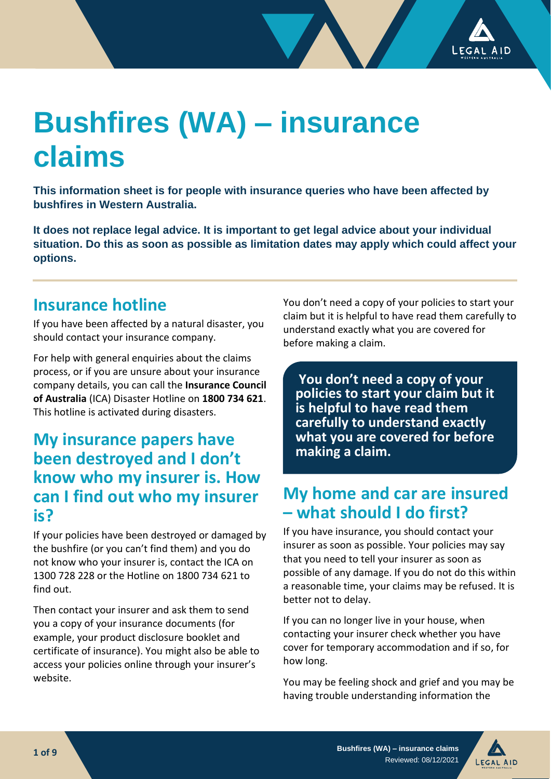

# **Bushfires (WA) – insurance claims**

**This information sheet is for people with insurance queries who have been affected by bushfires in Western Australia.** 

**It does not replace legal advice. It is important to get legal advice about your individual situation. Do this as soon as possible as limitation dates may apply which could affect your options.**

#### **Insurance hotline**

If you have been affected by a natural disaster, you should contact your insurance company.

For help with general enquiries about the claims process, or if you are unsure about your insurance company details, you can call the **Insurance Council of Australia** (ICA) Disaster Hotline on **1800 734 621**. This hotline is activated during disasters.

## **My insurance papers have been destroyed and I don't know who my insurer is. How can I find out who my insurer is?**

If your policies have been destroyed or damaged by the bushfire (or you can't find them) and you do not know who your insurer is, contact the ICA on 1300 728 228 or the Hotline on 1800 734 621 to find out.

Then contact your insurer and ask them to send you a copy of your insurance documents (for example, your product disclosure booklet and certificate of insurance). You might also be able to access your policies online through your insurer's website.

You don't need a copy of your policies to start your claim but it is helpful to have read them carefully to understand exactly what you are covered for before making a claim.

**You don't need a copy of your policies to start your claim but it is helpful to have read them carefully to understand exactly what you are covered for before making a claim.**

## **My home and car are insured – what should I do first?**

If you have insurance, you should contact your insurer as soon as possible. Your policies may say that you need to tell your insurer as soon as possible of any damage. If you do not do this within a reasonable time, your claims may be refused. It is better not to delay.

If you can no longer live in your house, when contacting your insurer check whether you have cover for temporary accommodation and if so, for **ull out box style one** how long.

You may be feeling shock and grief and you may be having trouble understanding information the • Lit modit ut que volende rspiduc iaestiistius

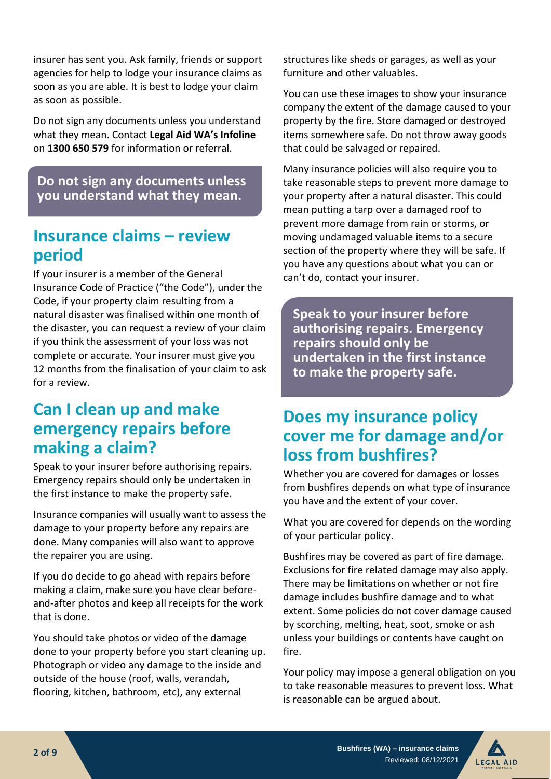insurer has sent you. Ask family, friends or support agencies for help to lodge your insurance claims as soon as you are able. It is best to lodge your claim as soon as possible.

Do not sign any documents unless you understand what they mean. Contact **Legal Aid WA's Infoline** on **1300 650 579** for information or referral.

**Do not sign any documents unless you understand what they mean.** 

#### **Insurance claims – review period**

If your insurer is a member of the General Insurance Code of Practice ("the Code"), under the Code, if your property claim resulting from a natural disaster was finalised within one month of the disaster, you can request a review of your claim if you think the assessment of your loss was not complete or accurate. Your insurer must give you 12 months from the finalisation of your claim to ask for a review.

## **Can I clean up and make emergency repairs before making a claim?**

Speak to your insurer before authorising repairs. Emergency repairs should only be undertaken in the first instance to make the property safe.

Insurance companies will usually want to assess the damage to your property before any repairs are done. Many companies will also want to approve the repairer you are using.

If you do decide to go ahead with repairs before making a claim, make sure you have clear beforeand-after photos and keep all receipts for the work that is done.

You should take photos or video of the damage done to your property before you start cleaning up. Photograph or video any damage to the inside and outside of the house (roof, walls, verandah, flooring, kitchen, bathroom, etc), any external

structures like sheds or garages, as well as your furniture and other valuables.

You can use these images to show your insurance company the extent of the damage caused to your property by the fire. Store damaged or destroyed items somewhere safe. Do not throw away goods that could be salvaged or repaired.

Many insurance policies will also require you to take reasonable steps to prevent more damage to your property after a natural disaster. This could mean putting a tarp over a damaged roof to prevent more damage from rain or storms, or moving undamaged valuable items to a secure section of the property where they will be safe. If you have any questions about what you can or can't do, contact your insurer.

**Speak to your insurer before authorising repairs. Emergency repairs should only be undertaken in the first instance to make the property safe.** 

## **Does my insurance policy cover me for damage and/or loss from bushfires?**

Whether you are covered for damages or losses from bushfires depends on what type of insurance you have and the extent of your cover.

What you are covered for depends on the wording of your particular policy.

Bushfires may be covered as part of fire damage. Exclusions for fire related damage may also apply. There may be limitations on whether or not fire damage includes bushfire damage and to what extent. Some policies do not cover damage caused by scorching, melting, heat, soot, smoke or ash unless your buildings or contents have caught on fire.

Your policy may impose a general obligation on you to take reasonable measures to prevent loss. What is reasonable can be argued about.

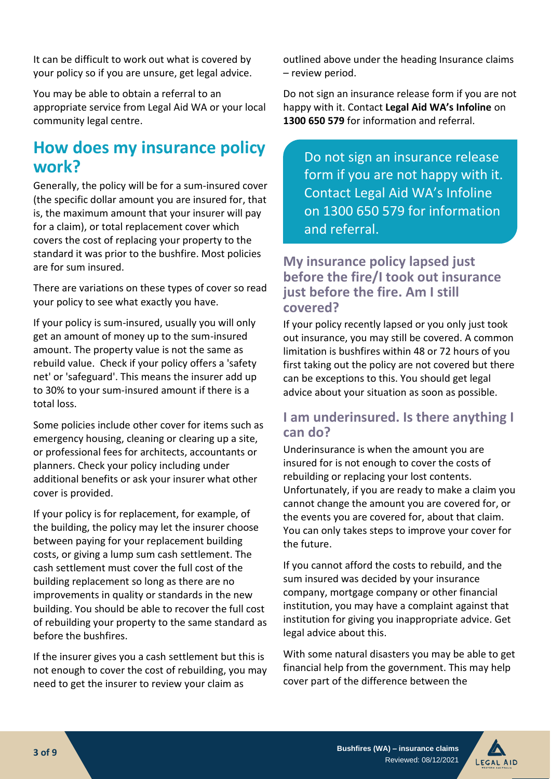It can be difficult to work out what is covered by your policy so if you are unsure, get legal advice.

You may be able to obtain a referral to an appropriate service from Legal Aid WA or your local community legal centre.

## **How does my insurance policy work?**

Generally, the policy will be for a sum-insured cover (the specific dollar amount you are insured for, that is, the maximum amount that your insurer will pay for a claim), or total replacement cover which covers the cost of replacing your property to the standard it was prior to the bushfire. Most policies are for sum insured.

There are variations on these types of cover so read your policy to see what exactly you have.

If your policy is sum-insured, usually you will only get an amount of money up to the sum-insured amount. The property value is not the same as rebuild value. Check if your policy offers a 'safety net' or 'safeguard'. This means the insurer add up to 30% to your sum-insured amount if there is a total loss.

Some policies include other cover for items such as emergency housing, cleaning or clearing up a site, or professional fees for architects, accountants or planners. Check your policy including under additional benefits or ask your insurer what other cover is provided.

If your policy is for replacement, for example, of the building, the policy may let the insurer choose between paying for your replacement building costs, or giving a lump sum cash settlement. The cash settlement must cover the full cost of the building replacement so long as there are no improvements in quality or standards in the new building. You should be able to recover the full cost of rebuilding your property to the same standard as before the bushfires.

If the insurer gives you a cash settlement but this is not enough to cover the cost of rebuilding, you may need to get the insurer to review your claim as

outlined above under the heading Insurance claims – review period.

Do not sign an insurance release form if you are not happy with it. Contact **Legal Aid WA's Infoline** on **1300 650 579** for information and referral.

Do not sign an insurance release form if you are not happy with it. Contact Legal Aid WA's Infoline on 1300 650 579 for information and referral.

#### **My insurance policy lapsed just before the fire/I took out insurance just before the fire. Am I still covered?**

If your policy recently lapsed or you only just took out insurance, you may still be covered. A common limitation is bushfires within 48 or 72 hours of you first taking out the policy are not covered but there can be exceptions to this. You should get legal advice about your situation as soon as possible.

#### **I am underinsured. Is there anything I can do?**

Underinsurance is when the amount you are insured for is not enough to cover the costs of rebuilding or replacing your lost contents. Unfortunately, if you are ready to make a claim you cannot change the amount you are covered for, or the events you are covered for, about that claim. You can only takes steps to improve your cover for the future.

If you cannot afford the costs to rebuild, and the sum insured was decided by your insurance company, mortgage company or other financial institution, you may have a complaint against that institution for giving you inappropriate advice. Get legal advice about this.

With some natural disasters you may be able to get financial help from the government. This may help cover part of the difference between the

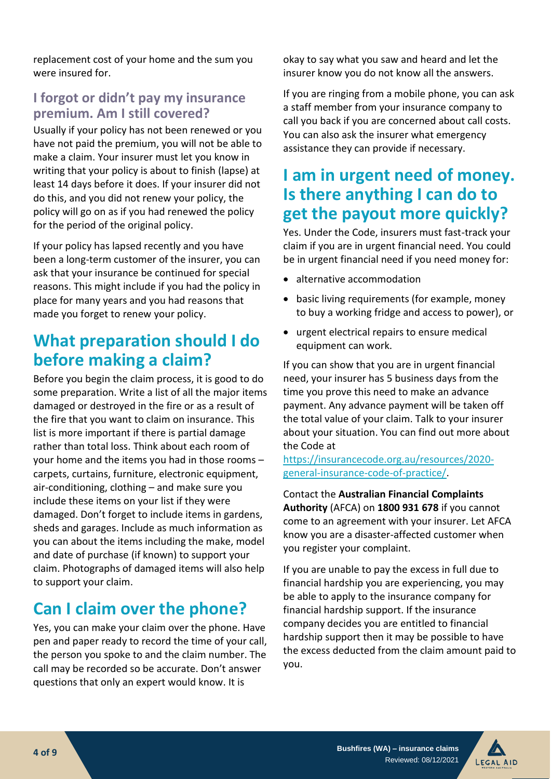replacement cost of your home and the sum you were insured for.

#### **I forgot or didn't pay my insurance premium. Am I still covered?**

Usually if your policy has not been renewed or you have not paid the premium, you will not be able to make a claim. Your insurer must let you know in writing that your policy is about to finish (lapse) at least 14 days before it does. If your insurer did not do this, and you did not renew your policy, the policy will go on as if you had renewed the policy for the period of the original policy.

If your policy has lapsed recently and you have been a long-term customer of the insurer, you can ask that your insurance be continued for special reasons. This might include if you had the policy in place for many years and you had reasons that made you forget to renew your policy.

## **What preparation should I do before making a claim?**

Before you begin the claim process, it is good to do some preparation. Write a list of all the major items damaged or destroyed in the fire or as a result of the fire that you want to claim on insurance. This list is more important if there is partial damage rather than total loss. Think about each room of your home and the items you had in those rooms – carpets, curtains, furniture, electronic equipment, air-conditioning, clothing – and make sure you include these items on your list if they were damaged. Don't forget to include items in gardens, sheds and garages. Include as much information as you can about the items including the make, model and date of purchase (if known) to support your claim. Photographs of damaged items will also help to support your claim.

## **Can I claim over the phone?**

Yes, you can make your claim over the phone. Have pen and paper ready to record the time of your call, the person you spoke to and the claim number. The call may be recorded so be accurate. Don't answer questions that only an expert would know. It is

okay to say what you saw and heard and let the insurer know you do not know all the answers.

If you are ringing from a mobile phone, you can ask a staff member from your insurance company to call you back if you are concerned about call costs. You can also ask the insurer what emergency assistance they can provide if necessary.

## **I am in urgent need of money. Is there anything I can do to get the payout more quickly?**

Yes. Under the Code, insurers must fast-track your claim if you are in urgent financial need. You could be in urgent financial need if you need money for:

- alternative accommodation
- basic living requirements (for example, money to buy a working fridge and access to power), or
- urgent electrical repairs to ensure medical equipment can work.

If you can show that you are in urgent financial need, your insurer has 5 business days from the time you prove this need to make an advance payment. Any advance payment will be taken off the total value of your claim. Talk to your insurer about your situation. You can find out more about the Code at

[https://insurancecode.org.au/resources/2020](https://insurancecode.org.au/resources/2020-general-insurance-code-of-practice/) [general-insurance-code-of-practice/.](https://insurancecode.org.au/resources/2020-general-insurance-code-of-practice/)

Contact the **Australian Financial Complaints Authority** (AFCA) on **1800 931 678** if you cannot come to an agreement with your insurer. Let AFCA know you are a disaster-affected customer when you register your complaint.

If you are unable to pay the excess in full due to financial hardship you are experiencing, you may be able to apply to the insurance company for financial hardship support. If the insurance company decides you are entitled to financial hardship support then it may be possible to have the excess deducted from the claim amount paid to you.

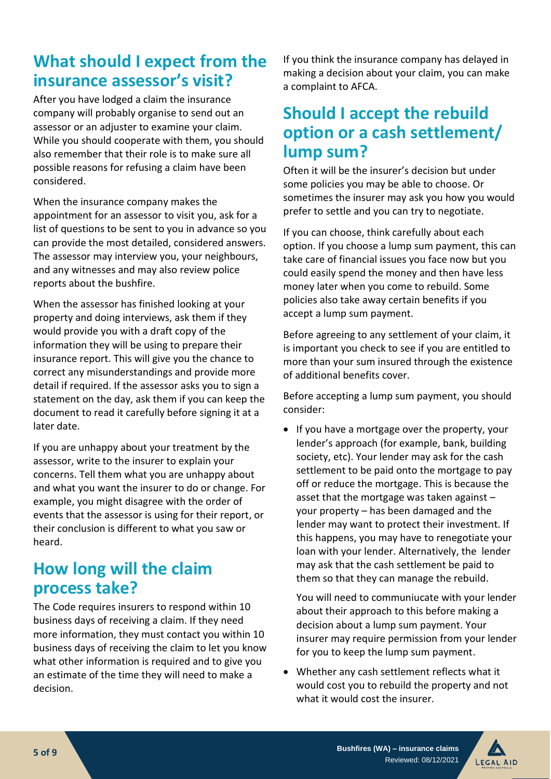## **What should I expect from the insurance assessor's visit?**

After you have lodged a claim the insurance company will probably organise to send out an assessor or an adjuster to examine your claim. While you should cooperate with them, you should also remember that their role is to make sure all possible reasons for refusing a claim have been considered.

When the insurance company makes the appointment for an assessor to visit you, ask for a list of questions to be sent to you in advance so you can provide the most detailed, considered answers. The assessor may interview you, your neighbours, and any witnesses and may also review police reports about the bushfire.

When the assessor has finished looking at your property and doing interviews, ask them if they would provide you with a draft copy of the information they will be using to prepare their insurance report. This will give you the chance to correct any misunderstandings and provide more detail if required. If the assessor asks you to sign a statement on the day, ask them if you can keep the document to read it carefully before signing it at a later date.

If you are unhappy about your treatment by the assessor, write to the insurer to explain your concerns. Tell them what you are unhappy about and what you want the insurer to do or change. For example, you might disagree with the order of events that the assessor is using for their report, or their conclusion is different to what you saw or heard.

## **How long will the claim process take?**

The Code requires insurers to respond within 10 business days of receiving a claim. If they need more information, they must contact you within 10 business days of receiving the claim to let you know what other information is required and to give you an estimate of the time they will need to make a decision.

If you think the insurance company has delayed in making a decision about your claim, you can make a complaint to AFCA.

## **Should I accept the rebuild option or a cash settlement/ lump sum?**

Often it will be the insurer's decision but under some policies you may be able to choose. Or sometimes the insurer may ask you how you would prefer to settle and you can try to negotiate.

If you can choose, think carefully about each option. If you choose a lump sum payment, this can take care of financial issues you face now but you could easily spend the money and then have less money later when you come to rebuild. Some policies also take away certain benefits if you accept a lump sum payment.

Before agreeing to any settlement of your claim, it is important you check to see if you are entitled to more than your sum insured through the existence of additional benefits cover.

Before accepting a lump sum payment, you should consider:

• If you have a mortgage over the property, your lender's approach (for example, bank, building society, etc). Your lender may ask for the cash settlement to be paid onto the mortgage to pay off or reduce the mortgage. This is because the asset that the mortgage was taken against – your property – has been damaged and the lender may want to protect their investment. If this happens, you may have to renegotiate your loan with your lender. Alternatively, the lender may ask that the cash settlement be paid to them so that they can manage the rebuild.

You will need to communiucate with your lender about their approach to this before making a decision about a lump sum payment. Your insurer may require permission from your lender for you to keep the lump sum payment.

• Whether any cash settlement reflects what it would cost you to rebuild the property and not what it would cost the insurer.

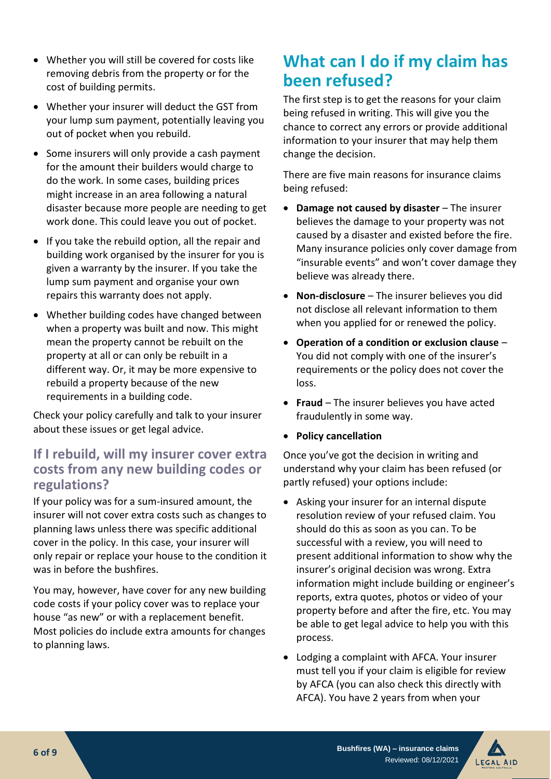- Whether you will still be covered for costs like removing debris from the property or for the cost of building permits.
- Whether your insurer will deduct the GST from your lump sum payment, potentially leaving you out of pocket when you rebuild.
- Some insurers will only provide a cash payment for the amount their builders would charge to do the work. In some cases, building prices might increase in an area following a natural disaster because more people are needing to get work done. This could leave you out of pocket.
- If you take the rebuild option, all the repair and building work organised by the insurer for you is given a warranty by the insurer. If you take the lump sum payment and organise your own repairs this warranty does not apply.
- Whether building codes have changed between when a property was built and now. This might mean the property cannot be rebuilt on the property at all or can only be rebuilt in a different way. Or, it may be more expensive to rebuild a property because of the new requirements in a building code.

Check your policy carefully and talk to your insurer about these issues or get legal advice.

#### **If I rebuild, will my insurer cover extra costs from any new building codes or regulations?**

If your policy was for a sum-insured amount, the insurer will not cover extra costs such as changes to planning laws unless there was specific additional cover in the policy. In this case, your insurer will only repair or replace your house to the condition it was in before the bushfires.

You may, however, have cover for any new building code costs if your policy cover was to replace your house "as new" or with a replacement benefit. Most policies do include extra amounts for changes to planning laws.

## **What can I do if my claim has been refused?**

The first step is to get the reasons for your claim being refused in writing. This will give you the chance to correct any errors or provide additional information to your insurer that may help them change the decision.

There are five main reasons for insurance claims being refused:

- **Damage not caused by disaster** The insurer believes the damage to your property was not caused by a disaster and existed before the fire. Many insurance policies only cover damage from "insurable events" and won't cover damage they believe was already there.
- **Non-disclosure** The insurer believes you did not disclose all relevant information to them when you applied for or renewed the policy.
- **Operation of a condition or exclusion clause** You did not comply with one of the insurer's requirements or the policy does not cover the loss.
- **Fraud**  The insurer believes you have acted fraudulently in some way.
- **Policy cancellation**

Once you've got the decision in writing and understand why your claim has been refused (or partly refused) your options include:

- Asking your insurer for an internal dispute resolution review of your refused claim. You should do this as soon as you can. To be successful with a review, you will need to present additional information to show why the insurer's original decision was wrong. Extra information might include building or engineer's reports, extra quotes, photos or video of your property before and after the fire, etc. You may be able to get legal advice to help you with this process.
- Lodging a complaint with AFCA. Your insurer must tell you if your claim is eligible for review by AFCA (you can also check this directly with AFCA). You have 2 years from when your

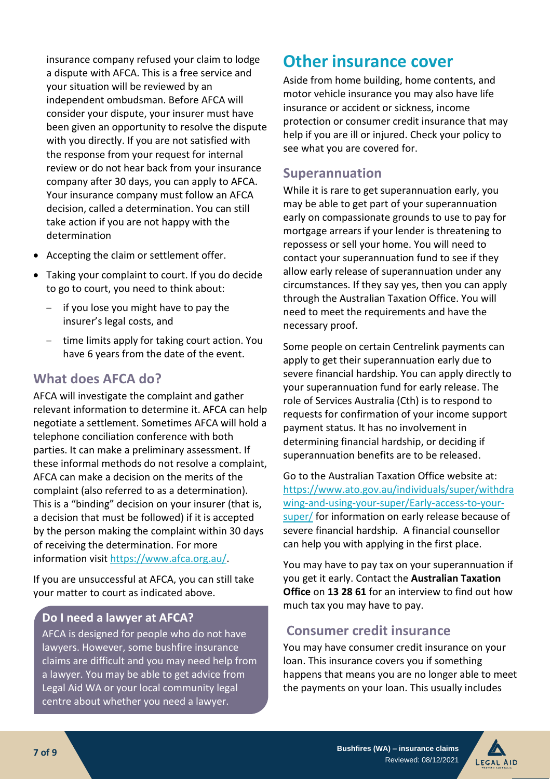insurance company refused your claim to lodge a dispute with AFCA. This is a free service and your situation will be reviewed by an independent ombudsman. Before AFCA will consider your dispute, your insurer must have been given an opportunity to resolve the dispute with you directly. If you are not satisfied with the response from your request for internal review or do not hear back from your insurance company after 30 days, you can apply to AFCA. Your insurance company must follow an AFCA decision, called a determination. You can still take action if you are not happy with the determination

- Accepting the claim or settlement offer.
- Taking your complaint to court. If you do decide to go to court, you need to think about:
	- if you lose you might have to pay the insurer's legal costs, and
	- time limits apply for taking court action. You have 6 years from the date of the event.

#### **What does AFCA do?**

AFCA will investigate the complaint and gather relevant information to determine it. AFCA can help negotiate a settlement. Sometimes AFCA will hold a telephone conciliation conference with both parties. It can make a preliminary assessment. If these informal methods do not resolve a complaint, AFCA can make a decision on the merits of the complaint (also referred to as a determination). This is a "binding" decision on your insurer (that is, a decision that must be followed) if it is accepted by the person making the complaint within 30 days of receiving the determination. For more information visit [https://www.afca.org.au/.](https://www.afca.org.au/)

If you are unsuccessful at AFCA, you can still take your matter to court as indicated above.

#### **Do I need a lawyer at AFCA?**

AFCA is designed for people who do not have lawyers. However, some bushfire insurance claims are difficult and you may need help from a lawyer. You may be able to get advice from Legal Aid WA or your local community legal centre about whether you need a lawyer.

#### **Other insurance cover**

Aside from home building, home contents, and motor vehicle insurance you may also have life insurance or accident or sickness, income protection or consumer credit insurance that may help if you are ill or injured. Check your policy to see what you are covered for.

#### **Superannuation**

While it is rare to get superannuation early, you may be able to get part of your superannuation early on compassionate grounds to use to pay for mortgage arrears if your lender is threatening to repossess or sell your home. You will need to contact your superannuation fund to see if they allow early release of superannuation under any circumstances. If they say yes, then you can apply through the Australian Taxation Office. You will need to meet the requirements and have the necessary proof.

Some people on certain Centrelink payments can apply to get their superannuation early due to severe financial hardship. You can apply directly to your superannuation fund for early release. The role of Services Australia (Cth) is to respond to requests for confirmation of your income support payment status. It has no involvement in determining financial hardship, or deciding if superannuation benefits are to be released.

Go to the Australian Taxation Office website at: [https://www.ato.gov.au/individuals/super/withdra](https://www.ato.gov.au/individuals/super/withdrawing-and-using-your-super/Early-access-to-your-super/) [wing-and-using-your-super/Early-access-to-your](https://www.ato.gov.au/individuals/super/withdrawing-and-using-your-super/Early-access-to-your-super/)[super/](https://www.ato.gov.au/individuals/super/withdrawing-and-using-your-super/Early-access-to-your-super/) for information on early release because of severe financial hardship. A financial counsellor can help you with applying in the first place.

You may have to pay tax on your superannuation if you get it early. Contact the **Australian Taxation Office** on **13 28 61** for an interview to find out how much tax you may have to pay.

#### **Consumer credit insurance**

You may have consumer credit insurance on your loan. This insurance covers you if something happens that means you are no longer able to meet the payments on your loan. This usually includes

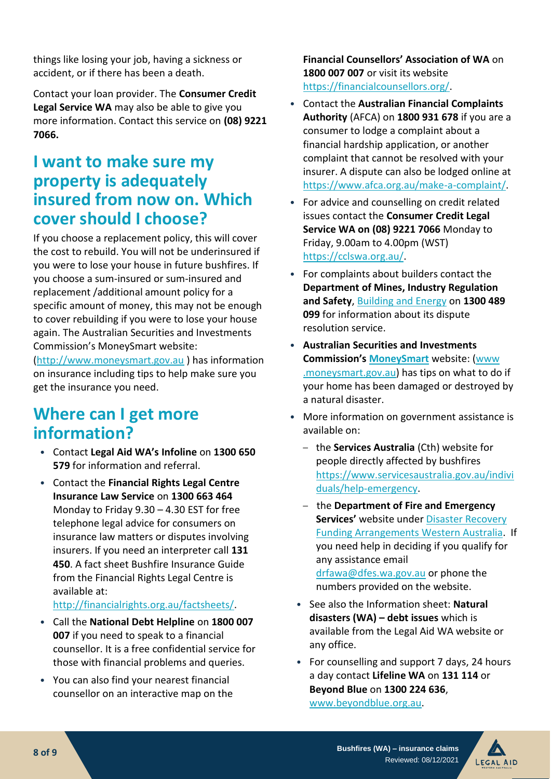things like losing your job, having a sickness or accident, or if there has been a death.

Contact your loan provider. The **Consumer Credit Legal Service WA** may also be able to give you more information. Contact this service on **(08) 9221 7066.**

## **I want to make sure my property is adequately insured from now on. Which cover should I choose?**

If you choose a replacement policy, this will cover the cost to rebuild. You will not be underinsured if you were to lose your house in future bushfires. If you choose a sum-insured or sum-insured and replacement /additional amount policy for a specific amount of money, this may not be enough to cover rebuilding if you were to lose your house again. The Australian Securities and Investments Commission's MoneySmart website:

[\(http://www.moneysmart.gov.au](http://www.moneysmart.gov.au/) ) has information on insurance including tips to help make sure you get the insurance you need.

## **Where can I get more information?**

- Contact **Legal Aid WA's Infoline** on **1300 650 579** for information and referral.
- Contact the **Financial Rights Legal Centre Insurance Law Service** on **1300 663 464** Monday to Friday 9.30 – 4.30 EST for free telephone legal advice for consumers on insurance law matters or disputes involving insurers. If you need an interpreter call **131 450**. A fact sheet Bushfire Insurance Guide from the Financial Rights Legal Centre is available at:

#### [http://financialrights.org.au/factsheets/.](http://financialrights.org.au/factsheets/)

- Call the **National Debt Helpline** on **1800 007 007** if you need to speak to a financial counsellor. It is a free confidential service for those with financial problems and queries.
- You can also find your nearest financial counsellor on an interactive map on the

**Financial Counsellors' Association of WA** on **1800 007 007** or visit its website [https://financialcounsellors.org/.](https://financialcounsellors.org/)

- Contact the **Australian Financial Complaints Authority** (AFCA) on **1800 931 678** if you are a consumer to lodge a complaint about a financial hardship application, or another complaint that cannot be resolved with your insurer. A dispute can also be lodged online at [https://www.afca.org.au/make-a-complaint/.](https://www.afca.org.au/make-a-complaint/)
- For advice and counselling on credit related issues contact the **Consumer Credit Legal Service WA on (08) 9221 7066** Monday to Friday, 9.00am to 4.00pm (WST) [https://cclswa.org.au/.](https://cclswa.org.au/)
- For complaints about builders contact the **Department of Mines, Industry Regulation and Safety**, [Building and Energy](https://www.commerce.wa.gov.au/building-and-energy/building-service-and-home-building-work-contract-complaints) on **1300 489 099** for information about its dispute resolution service.
- **Australian Securities and Investments Commission's [MoneySmart](https://www.moneysmart.gov.au/)** website: [\(www](file:///C:/Users/penelope.hobday/AppData/Roaming/OpenText/OTEdit/EC_cms/c156612/www%20.moneysmart.gov.au)  [.moneysmart.gov.au\)](file:///C:/Users/penelope.hobday/AppData/Roaming/OpenText/OTEdit/EC_cms/c156612/www%20.moneysmart.gov.au) has tips on what to do if your home has been damaged or destroyed by a natural disaster.
- More information on government assistance is available on:
	- the **Services Australia** (Cth) website for people directly affected by bushfires [https://www.servicesaustralia.gov.au/indivi](https://www.servicesaustralia.gov.au/individuals/help-emergency) [duals/help-emergency.](https://www.servicesaustralia.gov.au/individuals/help-emergency)
	- the **Department of Fire and Emergency Services'** website unde[r Disaster Recovery](https://www.dfes.wa.gov.au/recovery/Pages/DRFA-WA.aspx)  [Funding Arrangements Western Australia.](https://www.dfes.wa.gov.au/recovery/Pages/DRFA-WA.aspx) If you need help in deciding if you qualify for any assistance email [drfawa@dfes.wa.gov.au](mailto:drfawa@dfes.wa.gov.au) or phone the numbers provided on the website.
	- See also the Information sheet: **Natural disasters (WA) – debt issues** which is available from the Legal Aid WA website or any office.
	- For counselling and support 7 days, 24 hours a day contact **Lifeline WA** on **131 114** or **Beyond Blue** on **1300 224 636**, [www.beyondblue.org.au.](http://www.beyondblue.org.au/)